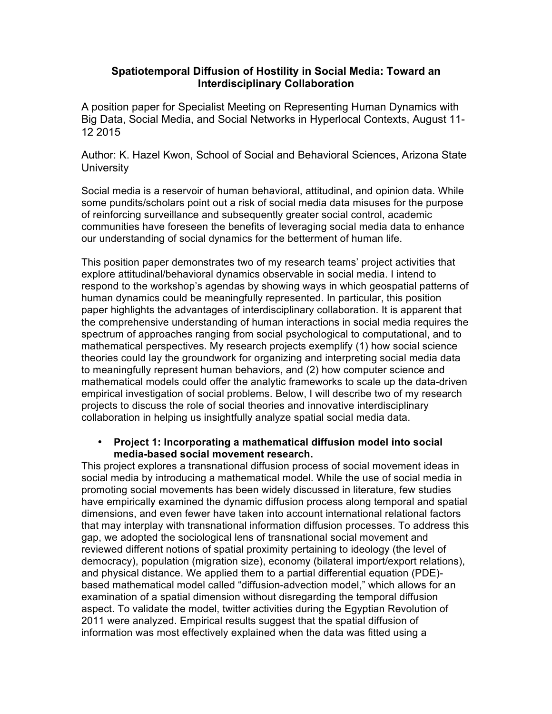## **Spatiotemporal Diffusion of Hostility in Social Media: Toward an Interdisciplinary Collaboration**

A position paper for Specialist Meeting on Representing Human Dynamics with Big Data, Social Media, and Social Networks in Hyperlocal Contexts, August 11- 12 2015

Author: K. Hazel Kwon, School of Social and Behavioral Sciences, Arizona State **University** 

Social media is a reservoir of human behavioral, attitudinal, and opinion data. While some pundits/scholars point out a risk of social media data misuses for the purpose of reinforcing surveillance and subsequently greater social control, academic communities have foreseen the benefits of leveraging social media data to enhance our understanding of social dynamics for the betterment of human life.

This position paper demonstrates two of my research teams' project activities that explore attitudinal/behavioral dynamics observable in social media. I intend to respond to the workshop's agendas by showing ways in which geospatial patterns of human dynamics could be meaningfully represented. In particular, this position paper highlights the advantages of interdisciplinary collaboration. It is apparent that the comprehensive understanding of human interactions in social media requires the spectrum of approaches ranging from social psychological to computational, and to mathematical perspectives. My research projects exemplify (1) how social science theories could lay the groundwork for organizing and interpreting social media data to meaningfully represent human behaviors, and (2) how computer science and mathematical models could offer the analytic frameworks to scale up the data-driven empirical investigation of social problems. Below, I will describe two of my research projects to discuss the role of social theories and innovative interdisciplinary collaboration in helping us insightfully analyze spatial social media data.

## • **Project 1: Incorporating a mathematical diffusion model into social media-based social movement research.**

This project explores a transnational diffusion process of social movement ideas in social media by introducing a mathematical model. While the use of social media in promoting social movements has been widely discussed in literature, few studies have empirically examined the dynamic diffusion process along temporal and spatial dimensions, and even fewer have taken into account international relational factors that may interplay with transnational information diffusion processes. To address this gap, we adopted the sociological lens of transnational social movement and reviewed different notions of spatial proximity pertaining to ideology (the level of democracy), population (migration size), economy (bilateral import/export relations), and physical distance. We applied them to a partial differential equation (PDE) based mathematical model called "diffusion-advection model," which allows for an examination of a spatial dimension without disregarding the temporal diffusion aspect. To validate the model, twitter activities during the Egyptian Revolution of 2011 were analyzed. Empirical results suggest that the spatial diffusion of information was most effectively explained when the data was fitted using a